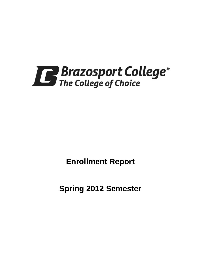

**Enrollment Report**

**Spring 2012 Semester**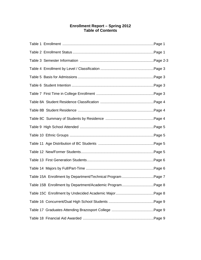## **Enrollment Report – Spring 2012 Table of Contents**

| Table 15A Enrollment by Department/Technical Program Page 7 |  |
|-------------------------------------------------------------|--|
| Table 15B Enrollment by Department/Academic ProgramPage 8   |  |
|                                                             |  |
|                                                             |  |
|                                                             |  |
|                                                             |  |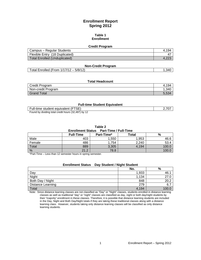## **Enrollment Report Spring 2012**

#### **Table 1 Enrollment**

#### **Credit Program**

| Campus – Regular Students      | 194 |
|--------------------------------|-----|
| Flexible Entry (18 Duplicated) | 4.  |
| Total Enrolled (Unduplicated)  |     |

#### **Non-Credit Program**

### **Total Headcount**

| Credit Program     | .194، |
|--------------------|-------|
| Non-credit Program | .340  |
| <b>Grand Total</b> | 5,534 |

#### **Full-time Student Equivalent**

| Full-time student equivalent (FTSE)                 | 2,707 |
|-----------------------------------------------------|-------|
| Found by dividing total credit hours (32,487) by 12 |       |

#### **Table 2**

# **Enrollment Status Part-Time / Full-Time**

|        | <b>Full-Time</b> | <b>Part-Time*</b> | Total | %     |
|--------|------------------|-------------------|-------|-------|
| Male   | 403              | ,550              | 1,953 | 46.6  |
| Female | 486              | .754              | 2,240 | 53.4  |
| Total  | 889              | 3,305             | 4,194 | 100.6 |
| %      | 21.2             | 78.8              |       | 100.1 |

\*Part-Time – Less than 12 semester hours in spring semester.

| Day Student / Night Student<br><b>Enrollment Status</b> |       |      |  |  |
|---------------------------------------------------------|-------|------|--|--|
|                                                         | No.   | %    |  |  |
| Day                                                     | 1,933 | 46.1 |  |  |
| Night                                                   | 1.134 | 27.0 |  |  |
| Both Day / Night                                        | 848   | 20.2 |  |  |
| Distance Learning                                       | 279   | 6.7  |  |  |
| Total                                                   | 4.194 |      |  |  |

#### Note: Since distance learning classes are not classified as "Day" or "Night" classes, students enrolled in distance learning classes as well as traditional "day" or "night" classes are classified as day, night or both day/night students by their "majority" enrollment in these classes. Therefore, it is possible that distance learning students are included in the Day, Night and Both Day/Night totals if they are taking these traditional classes along with a distance learning class. However, students taking only distance learning classes will be classified as only distance learning students.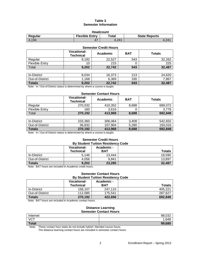## **Table 3 Semester Information**

| <b>Headcount</b>                                                  |  |       |       |  |  |
|-------------------------------------------------------------------|--|-------|-------|--|--|
| <b>Flexible Entry</b><br>Total<br><b>State Reports</b><br>Regular |  |       |       |  |  |
| 4.194                                                             |  | 4.241 | 4.241 |  |  |

| <b>Semester Credit Hours</b> |                                        |          |            |               |  |
|------------------------------|----------------------------------------|----------|------------|---------------|--|
|                              | <b>Vocational-</b><br><b>Technical</b> | Academic | <b>BAT</b> | <b>Totals</b> |  |
| Regular                      | 9,192                                  | 22,527   | 543        | 32,262        |  |
| <b>Flexible Entry</b>        | 10                                     | 215      | 0          | 225           |  |
| Total                        | 9,202                                  | 22,742   | 543        | 32,487        |  |
|                              |                                        |          |            |               |  |
| In-District                  | 8,034                                  | 16,373   | 213        | 24,620        |  |
| Out-of-District              | 1,168                                  | 6,369    | 330        | 7,867         |  |
| <b>Totals</b>                | 9,202                                  | 22,742   | 543        | 32,487        |  |

Note: In / Out-of-District status is determined by where a course is taught.

#### **Semester Contact Hours**

|                | <b>Vocational-</b><br><b>Technical</b> | Academic | <b>BAT</b> | Totals  |
|----------------|----------------------------------------|----------|------------|---------|
| Regular        | 270.032                                | 410.352  | 8,688      | 689.072 |
| Flexible Entry | 160                                    | 3.616    |            | 3.776   |
| Total          | 270,192                                | 413,968  | 8,688      | 692,848 |

| In-District     | 233.360 | 306.064      | 3.408 | 542.832 |
|-----------------|---------|--------------|-------|---------|
| Out-of-District | 36.832  | .904<br>107. | 5.280 | 150.016 |
| <b>Totals</b>   | 270.192 | 413.968      | 8,688 | 692.848 |

Note: In / Out-of-District status is determined by where a course is taught.

# **Semester Credit Hours**

| <b>By Student Tuition Residency Code</b>                           |       |        |        |  |
|--------------------------------------------------------------------|-------|--------|--------|--|
| <b>Vocational-</b><br>Academic -<br><b>Technical</b><br><b>BAT</b> |       |        |        |  |
| In-District                                                        | 5.146 | 13.444 | 18,590 |  |
| Out-of-District                                                    | 4.056 | 9.841  | 13.897 |  |
| <b>Totals</b>                                                      | 9,202 | 23,285 | 32,487 |  |

Note: BAT hours are included in Academic credit hours.

#### **Semester Contact Hours By Student Tuition Residency Code**

|                 | <b>Vocational-</b><br><b>Technical</b> | Academic -<br>BAT | <b>Totals</b> |
|-----------------|----------------------------------------|-------------------|---------------|
| In-District     | 158.107                                | 247.115           | 405.221       |
| Out-of-District | 112.085                                | 175.541           | 287.627       |
| <b>Totals</b>   | 270,192                                | 422.656           | 692,848       |

Note: BAT hours are included in Academic contact hours.

#### **Distance Learning Semester Contact Hours**

| __________________ |        |  |  |  |
|--------------------|--------|--|--|--|
| Internet           | 98,032 |  |  |  |
| <b>VCT</b>         | 1,648  |  |  |  |
| Total              | 99,680 |  |  |  |
|                    |        |  |  |  |

Note: These contact hour totals do not include hybrid / blended course hours.

The distance learning contact hours are included in semester contact hours.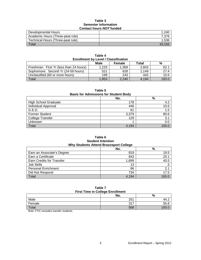#### **Table 3 Semester Information Contact hours** *NOT* **funded**

| Developmental Hours               | .240   |
|-----------------------------------|--------|
| Academic Hours (Three-peat rule)  | 7.376  |
| Technical Hours (Three-peat rule) | 1,536  |
| $\tau$ <sub>otal</sub>            | 10.152 |

| <b>Enrollment by Level / Classification</b> |       |        |       |       |  |  |
|---------------------------------------------|-------|--------|-------|-------|--|--|
|                                             | Male  | Female | Total | %     |  |  |
| Freshman: First Yr (less than 24 hours)     | 1,233 | 1.369  | 2.603 | 62.1  |  |  |
| Sophomore: Second Yr (24-59 hours)          | 521   | 628    | 1.149 | 27.4  |  |  |
| Unclassified (60 or more hours)             | 199   | 243    | 442   | 10.5  |  |  |
| <b>Total</b>                                | 1.953 | 2.240  | 4.194 | 100.0 |  |  |

**Table 4**

**Table 5**

**Basis for Admissions for Student Body**

|                             | No.   | %     |
|-----------------------------|-------|-------|
| <b>High School Graduate</b> | 178   | 4.2   |
| Individual Approval         | 446   | 10.6  |
| G.E.D.                      | 61    | 1.5   |
| <b>Former Student</b>       | 3,379 | 80.6  |
| <b>College Transfer</b>     | 129   | 3.1   |
| <b>Unknown</b>              |       | 0.0   |
| <b>Total</b>                | 4.194 | 100 C |

#### **Table 6 Student Intention Why Students Attend Brazosport College**

|                                  | No.   | %     |
|----------------------------------|-------|-------|
| Earn an Associate's Degree       | 819   | 19.5  |
| Earn a Certificate               | 843   | 20.1  |
| <b>Earn Credits for Transfer</b> | 1,699 | 40.5  |
| Job Skills                       | 13    | .3    |
| <b>Personal Enrichment</b>       | 86    | 2.1   |
| Did Not Respond                  | 734   | 17.5  |
| Total                            | 4.194 | 100.0 |

#### **Table 7 First Time in College Enrollment**

| <b>THOL THIS IN SONGGO EMPIRITY</b> |     |      |  |
|-------------------------------------|-----|------|--|
|                                     | No. | %    |  |
| Male                                | 251 | 77.Z |  |
| Female                              | 247 | 55.8 |  |
| Total                               | 568 |      |  |

Note: FTIC excludes transfer students.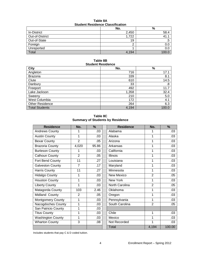#### **Table 8A Student Residence Classification**

| otaacht noolachoo olassinoation |       |      |  |  |
|---------------------------------|-------|------|--|--|
|                                 | No.   | %    |  |  |
| In-District                     | 2,450 | 58.4 |  |  |
| Out-of-District                 | 1,722 | 41.  |  |  |
| Out-of-State                    | 19    | .э   |  |  |
| Foreign                         |       | 0.0  |  |  |
| Unreported                      |       | 0.0  |  |  |
| Total                           | 4.194 |      |  |  |

## **Table 8B Student Residence**

| <b>City</b>            | No.   | $\%$  |
|------------------------|-------|-------|
| Angleton               | 716   | 17.1  |
| <b>Brazoria</b>        | 339   | 8.1   |
| Clute                  | 610   | 14.5  |
| Danbury                | 33    | .8    |
| Freeport               | 492   | 11.7  |
| Lake Jackson           | 1,358 | 32.4  |
| Sweeny                 | 210   | 5.0   |
| West Columbia          | 172   | 4.1   |
| <b>Other Residence</b> | 264   | 6.3   |
| <b>Total Students</b>  | 4,194 | 100.0 |

**Table 8C Summary of Students by Residence**

| <b>Residence</b>         | No.            | %     | <b>Residence</b> | No.            | %      |
|--------------------------|----------------|-------|------------------|----------------|--------|
| <b>Andrews County</b>    |                | .03   | Alabama          |                | .03    |
| <b>Austin County</b>     | 1              | .03   | Alaska           | 1              | .03    |
| <b>Bexar County</b>      | $\overline{2}$ | .05   | Arizona          |                | .03    |
| <b>Brazoria County</b>   | 4,020          | 95.86 | Arkansas         |                | .03    |
| <b>Burleson County</b>   |                | .03   | California       | 1              | .03    |
| Calhoun County           | $\overline{2}$ | .05   | <b>Illinois</b>  | 1              | .03    |
| Fort Bend County         | 11             | .27   | Louisiana        |                | .03    |
| <b>Galveston County</b>  | 7              | .17   | Maryland         | 1              | .03    |
| <b>Harris County</b>     | 11             | .27   | Minnesota        | 1              | .03    |
| <b>Hidalgo County</b>    | 1              | .03   | New Mexico       | $\overline{2}$ | .05    |
| <b>Houston County</b>    | 1              | .03   | New York         | 1              | .03    |
| <b>Liberty County</b>    | 1              | .03   | North Carolina   | $\overline{2}$ | .05    |
| Matagorda County         | 103            | 2.46  | Oklahoma         | 1              | .03    |
| Midland County           | $\overline{2}$ | .05   | Oregon           | 1              | .03    |
| <b>Montgomery County</b> | 1              | .03   | Pennsylvania     | 1              | .03    |
| Nacogdoches County       | 1              | .03   | South Carolina   | $\overline{2}$ | .05    |
| San Patricio County      | 1              | .03   |                  |                |        |
| <b>Titus County</b>      |                | .03   | Chile            | 1              | .03    |
| <b>Washington County</b> | 1              | .03   | Mexico           | 1              | .03    |
| <b>Wharton County</b>    | 3              | .08   | Not Recorded     |                | .03    |
|                          |                |       | Total            | 4,194          | 100.00 |

Includes students that pay C & D coded tuition.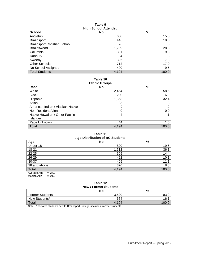#### **Table 9 High School Attended**

| <b>School</b>                      | - - -<br>No. | %     |
|------------------------------------|--------------|-------|
| Angleton                           | 650          | 15.5  |
| <b>Brazosport</b>                  | 446          | 10.6  |
| <b>Brazosport Christian School</b> | 26           | .6    |
| <b>Brazoswood</b>                  | 1,209        | 28.8  |
| Columbia                           | 391          | 9.3   |
| Danbury                            | 34           | .8    |
| Sweenv                             | 326          | 7.8   |
| Other Schools                      | 712          | 17.0  |
| No School Assigned                 | 400          | 9.5   |
| <b>Total Students</b>              | 4,194        | 100.0 |

**Table 10 Ethnic Groups**

| Race                             | No.   | $\%$       |
|----------------------------------|-------|------------|
| White                            | 2,454 | 58.5       |
| <b>Black</b>                     | 290   | 6.9        |
| Hispanic                         | 1,358 | 32.4       |
| Asian                            | 35    | .8         |
| American Indian / Alaskan Native | 9     | $\cdot$ .2 |
| Non-Resident Alien               | 0     | 0.0        |
| Native Hawaiian / Other Pacific  | 4     |            |
| Islander                         |       |            |
| Race Unknown                     | 44    | 1.0        |
| Total                            | 4,194 | 100.0      |

# **Table 11**

| <b>Age Distribution of BC Students</b> |       |       |  |  |  |
|----------------------------------------|-------|-------|--|--|--|
| Age                                    | No.   | %     |  |  |  |
| Under 18                               | 820   | 19.6  |  |  |  |
| 18-21                                  | 1,512 | 36.1  |  |  |  |
| 22-25                                  | 605   | 14.4  |  |  |  |
| 26-29                                  | 422   | 10.1  |  |  |  |
| 30-37                                  | 465   | 11.1  |  |  |  |
| 38 and above                           | 370   | 8.8   |  |  |  |
| Total                                  | 4,194 | 100.0 |  |  |  |
| $= 24.0$<br>Average Age                |       |       |  |  |  |

Median Age  $= 21.0$ 

#### **Table 12 New / Former Students**

|                        | <b>NEW / FUILIEL SLUUEIILS</b><br>No. | %    |
|------------------------|---------------------------------------|------|
| <b>Former Students</b> | 3.520                                 | 83.9 |
| New Students*          | 674                                   | 16.  |
| Total                  | 4.194                                 | 100. |

Note: \*Indicates students new to Brazosport College--includes transfer students.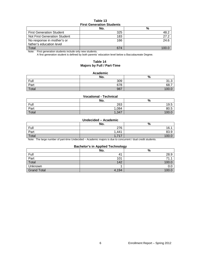#### **Table 13 First Generation Students**

|                                 | No. | %    |  |  |  |
|---------------------------------|-----|------|--|--|--|
| <b>First Generation Student</b> | 325 | 48.2 |  |  |  |
| Not First Generation Student    | 183 | 27.2 |  |  |  |
| No response in mother's or      | 166 | 24.6 |  |  |  |
| father's education level        |     |      |  |  |  |
| Total                           | 674 |      |  |  |  |

Note: First generation students include only new students.

A first generation student is defined by both parents' education level below a Baccalaureate Degree.

### **Table 14 Majors by Full / Part-Time**

#### **Academic**

|       | No. | $\mathbf{0}$<br>70               |
|-------|-----|----------------------------------|
| Full  | 309 | $\sim$<br>$\sim$<br>ن. ا ت       |
| Part  | 678 | 68.7<br>$\overline{\phantom{0}}$ |
| Total | 987 | 10 <sup>c</sup>                  |

#### **Vocational - Technical**

|       | No.   | %     |
|-------|-------|-------|
| Full  | 263   | 19.5  |
| Part  | 1,084 | 80.5  |
| Total | 1,347 | 100.0 |

#### **Undecided – Academic**

|       | No.                                   | %     |
|-------|---------------------------------------|-------|
| Full  | 276                                   | 16.1  |
| Part  | ,441<br>$\overline{A}$                | 83.9  |
| Total | 717<br>$\overline{A}$<br>- 11<br>$-1$ | 100.U |

Note: The large number of part-time Undecided – Academic majors is due to concurrent / dual credit students.

#### **Bachelor's in Applied Technology**

|                    | . .<br>No.     | --<br>$\mathbf{0}$<br>7٥ |
|--------------------|----------------|--------------------------|
| <b>Full</b>        | 4 <sup>1</sup> | 28.9                     |
| Part               | 101            | 71.                      |
| Total              | 142            | 100.C                    |
| Unknown            |                | 0.0                      |
| <b>Grand Total</b> | 4,194          | 100.C                    |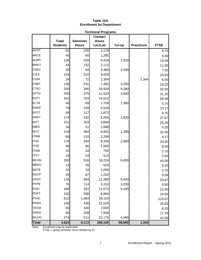#### **Table 15A Enrollment by Department**

|              |                 |                 | <b>Technical Programs</b>      |        |           |             |
|--------------|-----------------|-----------------|--------------------------------|--------|-----------|-------------|
|              | <b>Total</b>    | <b>Semester</b> | <b>Contact</b><br><b>Hours</b> |        |           |             |
|              | <b>Students</b> | <b>Hours</b>    | Lec/Lab                        | Co-op  | Practicum | <b>FTSE</b> |
| <b>ACNT</b>  | 62              | 105             |                                |        |           |             |
| <b>ARCE</b>  |                 |                 | 2,176                          |        |           | 8.75        |
|              | 40              | 60              | 1,280                          |        |           | 5.00        |
| <b>AUMT</b>  | 126             | 229             | 8,416                          | 1,920  |           | 19.08       |
| <b>BMGT</b>  | 44              | 132             | 2,112                          |        |           | 11.00       |
| CDEC         | 35              | 84              | 3,360                          | 2,240  |           | 7.00        |
| <b>CJLE</b>  | 124             | 310             | 9,920                          |        |           | 25.83       |
| <b>CJSA</b>  | 24              | 72              | 2,304                          |        | 1,344     | 6.00        |
| <b>CNBT</b>  | 138             | 231             | 7,392                          | 3,200  |           | 19.25       |
| <b>CTEC</b>  | 200             | 395             | 15,920                         | 9,280  |           | 32.92       |
| <b>DFTG</b>  | 250             | 375             | 11,520                         | 3,840  |           | 31.25       |
| <b>ELPT</b>  | 431             | 703             | 14,512                         |        |           | 58.58       |
| <b>ELTN</b>  | 46              | 69              | 7,728                          | 7,360  |           | 5.75        |
| <b>EMSP</b>  | 79              | 158             | 6,528                          |        |           | 13.17       |
| <b>EPCT</b>  | 49              | 117             | 1,872                          |        |           | 9.75        |
| <b>HART</b>  | 174             | 332             | 8,256                          | 1,920  |           | 27.67       |
| <b>HITT</b>  | 101             | 303             | 4,848                          |        |           | 25.25       |
| <b>IMED</b>  | 34              | 51              | 1,088                          |        |           | 4.25        |
| <b>INTC</b>  | 219             | 384             | 8,832                          | 1,280  |           | 32.00       |
| <b>ITNW</b>  | 66              | 110             | 2,288                          |        |           | 9.17        |
| <b>ITSC</b>  | 176             | 294             | 8,336                          | 2,560  |           | 24.50       |
| <b>ITSE</b>  | 48              | 96              | 1,920                          |        |           | 8.00        |
| <b>ITSW</b>  | 22              | 33              | 704                            |        |           | 2.75        |
| <b>ITSY</b>  | 16              | 24              | 512                            |        |           | 2.00        |
| <b>MCHN</b>  | 330             | 516             | 16,224                         | 6,400  |           | 43.00       |
| <b>MRKG</b>  | 13              | 39              | 624                            |        |           | 3.25        |
| <b>NDTE</b>  | 22              | 33              | 1,056                          |        |           | 2.75        |
| <b>NUCP</b>  | 29              | 67              | 1,232                          |        |           | 5.58        |
| <b>OSHT</b>  | 133             | 404             | 11,360                         | 5,440  |           | 33.67       |
| <b>PFPB</b>  | 76              | 114             | 5,152                          | 3,200  |           | 9.50        |
| <b>POFI</b>  | 168             | 252             | 11,072                         | 5,440  |           | 21.00       |
| <b>POFT</b>  | 192             | 288             | 6,864                          |        |           | 24.00       |
| <b>PTAC</b>  | 612             | 1,484           | 29,120                         |        |           | 123.67      |
| <b>RNSG</b>  | 140             | 430             | 21,520                         |        |           | 35.83       |
| <b>TECM</b>  | 50              | 100             | 2,000                          |        |           | 8.33        |
| <b>VNSG</b>  | 80              | 208             | 7,936                          |        |           | 17.33       |
| <b>WLDG</b>  | 274             | 511             | 22,176                         | 4,480  |           | 42.58       |
| <b>Total</b> | 4,623           | 9,113           | 268,160                        | 58,560 | 1,344     |             |

Note: Enrollment may be duplicated.

FTSE = spring semester hours divided by 12.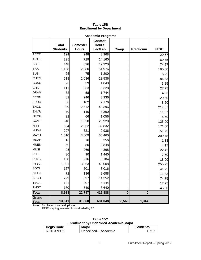|              |                                 |                 | <b>Academic Programs</b> |          |                  |             |
|--------------|---------------------------------|-----------------|--------------------------|----------|------------------|-------------|
|              |                                 |                 | <b>Contact</b>           |          |                  |             |
|              | <b>Total</b><br><b>Students</b> | <b>Semester</b> | <b>Hours</b><br>Lec/Lab  |          | <b>Practicum</b> | <b>FTSE</b> |
|              |                                 | <b>Hours</b>    |                          | Co-op    |                  |             |
| <b>ACCT</b>  | 124                             | 248             | 3,968                    |          |                  | 20.67       |
| <b>ARTS</b>  | 295                             | 729             | 14,160                   |          |                  | 60.75       |
| <b>BCIS</b>  | 448                             | 896             | 17,920                   |          |                  | 74.67       |
| <b>BIOL</b>  | 1,128                           | 2,280           | 54,976                   |          |                  | 190.00      |
| <b>BUSI</b>  | 25                              | 75              | 1,200                    |          |                  | 6.25        |
| <b>CHEM</b>  | 518                             | 1,036           | 23,536                   |          |                  | 86.33       |
| cosc         | 26                              | 39              | 1,040                    |          |                  | 3.25        |
| <b>CRIJ</b>  | 111                             | 333             | 5,328                    |          |                  | 27.75       |
| <b>DRAM</b>  | 32                              | 58              | 1,744                    |          |                  | 4.83        |
| <b>ECON</b>  | 82                              | 246             | 3,936                    |          |                  | 20.50       |
| <b>EDUC</b>  | 68                              | 102             | 2,176                    |          |                  | 8.50        |
| <b>ENGL</b>  | 939                             | 2,612           | 43,396                   |          |                  | 217.67      |
| <b>ENVR</b>  | 70                              | 140             | 3,360                    |          |                  | 11.67       |
| <b>GEOG</b>  | 22                              | 66              | 1,056                    |          |                  | 5.50        |
| <b>GOVT</b>  | 540                             | 1,620           | 25,920                   |          |                  | 135.00      |
| <b>HIST</b>  | 684                             | 2,052           | 32,832                   |          |                  | 171.00      |
| <b>HUMA</b>  | 207                             | 621             | 9,936                    |          |                  | 51.75       |
| <b>MATH</b>  | 1,510                           | 3,609           | 65,460                   |          |                  | 300.75      |
| <b>MUAP</b>  | 16                              | 16              | 256                      |          |                  | 1.33        |
| <b>MUEN</b>  | 50                              | 50              | 2,848                    |          |                  | 4.17        |
| <b>MUSI</b>  | 95                              | 269             | 4,368                    |          |                  | 22.42       |
| PHIL         | 30                              | 90              | 1,440                    |          |                  | 7.50        |
| <b>PHYS</b>  | 108                             | 216             | 5,184                    |          |                  | 18.00       |
| <b>PSYC</b>  | 1,021                           | 3,063           | 49,008                   |          |                  | 255.25      |
| SOCI         | 167                             | 501             | 8,016                    |          |                  | 41.75       |
| <b>SPAN</b>  | 72                              | 136             | 2,688                    |          |                  | 11.33       |
| <b>SPCH</b>  | 299                             | 897             | 14,352                   |          |                  | 74.75       |
| <b>TECA</b>  | 121                             | 207             | 4,144                    |          |                  | 17.25       |
| <b>TMGT</b>  | 180                             | 540             | 8,640                    |          |                  | 45.00       |
| <b>Total</b> | 8,988                           | 22,747          | 412,888                  | $\bf{0}$ | $\bf{0}$         |             |
| Grand        |                                 |                 |                          |          |                  |             |
| <b>Total</b> | 13,611                          | 31,860          | 681,048                  | 58,560   | 1,344            |             |

## **Table 15B Enrollment by Department**

Note: Enrollment may be duplicated.

FTSE = spring semester hours divided by 12.

**Table 15C Enrollment by Undecided Academic Major**

| <b>Hegis Code</b> | <b>Major</b>         | <b>Students</b> |
|-------------------|----------------------|-----------------|
| 6950 & 9996       | Undecided – Academic |                 |